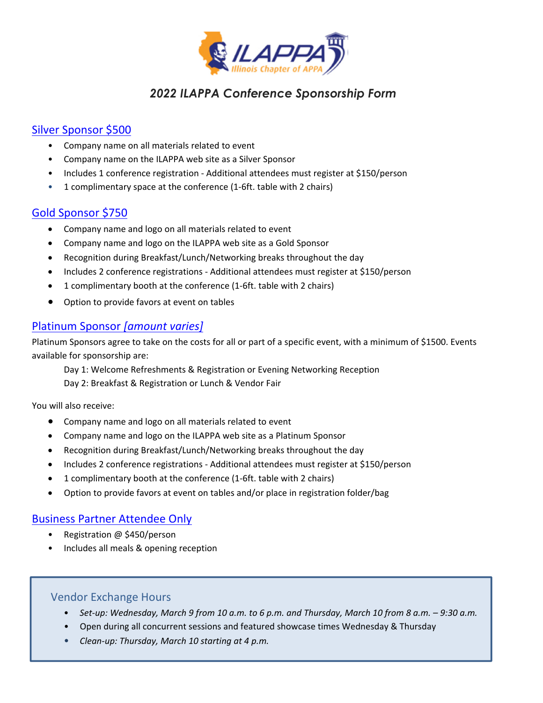

# *2022 ILAPPA Conference Sponsorship Form*

# Silver Sponsor \$500

- Company name on all materials related to event
- Company name on the ILAPPA web site as a Silver Sponsor
- Includes 1 conference registration ‐ Additional attendees must register at \$150/person
- 1 complimentary space at the conference (1‐6ft. table with 2 chairs)

## Gold Sponsor \$750

- Company name and logo on all materials related to event
- Company name and logo on the ILAPPA web site as a Gold Sponsor
- Recognition during Breakfast/Lunch/Networking breaks throughout the day
- Includes 2 conference registrations Additional attendees must register at \$150/person
- 1 complimentary booth at the conference (1‐6ft. table with 2 chairs)
- Option to provide favors at event on tables

## Platinum Sponsor *[amount varies]*

Platinum Sponsors agree to take on the costs for all or part of a specific event, with a minimum of \$1500. Events available for sponsorship are:

Day 1: Welcome Refreshments & Registration or Evening Networking Reception Day 2: Breakfast & Registration or Lunch & Vendor Fair

You will also receive:

- Company name and logo on all materials related to event
- Company name and logo on the ILAPPA web site as a Platinum Sponsor
- Recognition during Breakfast/Lunch/Networking breaks throughout the day
- Includes 2 conference registrations ‐ Additional attendees must register at \$150/person
- 1 complimentary booth at the conference (1‐6ft. table with 2 chairs)
- Option to provide favors at event on tables and/or place in registration folder/bag

## Business Partner Attendee Only

- Registration @ \$450/person
- Includes all meals & opening reception

## Vendor Exchange Hours

- Set-up: Wednesday, March 9 from 10 a.m. to 6 p.m. and Thursday, March 10 from 8 a.m. 9:30 a.m.
- Open during all concurrent sessions and featured showcase times Wednesday & Thursday
- *Clean‐up: Thursday, March 10 starting at 4 p.m.*